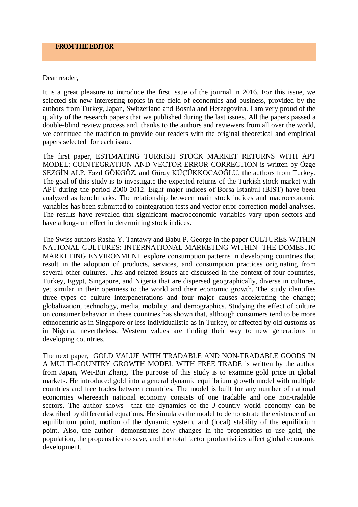## Dear reader,

It is a great pleasure to introduce the first issue of the journal in 2016. For this issue, we selected six new interesting topics in the field of economics and business, provided by the authors from Turkey, Japan, Switzerland and Bosnia and Herzegovina. I am very proud of the quality of the research papers that we published during the last issues. All the papers passed a double-blind review process and, thanks to the authors and reviewers from all over the world, we continued the tradition to provide our readers with the original theoretical and empirical papers selected for each issue.

The first paper, ESTIMATING TURKISH STOCK MARKET RETURNS WITH APT MODEL: COINTEGRATION AND VECTOR ERROR CORRECTION is written by Özge SEZGİN ALP, Fazıl GÖKGÖZ, and Güray KÜÇÜKKOCAOĞLU, the authors from Turkey. The goal of this study is to investigate the expected returns of the Turkish stock market with APT during the period 2000-2012. Eight major indices of Borsa İstanbul (BIST) have been analyzed as benchmarks. The relationship between main stock indices and macroeconomic variables has been submitted to cointegration tests and vector error correction model analyses. The results have revealed that significant macroeconomic variables vary upon sectors and have a long-run effect in determining stock indices.

The Swiss authors Rasha Y. Tantawy and Babu P. George in the paper CULTURES WITHIN NATIONAL CULTURES: INTERNATIONAL MARKETING WITHIN THE DOMESTIC MARKETING ENVIRONMENT explore consumption patterns in developing countries that result in the adoption of products, services, and consumption practices originating from several other cultures. This and related issues are discussed in the context of four countries, Turkey, Egypt, Singapore, and Nigeria that are dispersed geographically, diverse in cultures, yet similar in their openness to the world and their economic growth. The study identifies three types of culture interpenetrations and four major causes accelerating the change; globalization, technology, media, mobility, and demographics. Studying the effect of culture on consumer behavior in these countries has shown that, although consumers tend to be more ethnocentric as in Singapore or less individualistic as in Turkey, or affected by old customs as in Nigeria, nevertheless, Western values are finding their way to new generations in developing countries.

The next paper, GOLD VALUE WITH TRADABLE AND NON-TRADABLE GOODS IN A MULTI-COUNTRY GROWTH MODEL WITH FREE TRADE is written by the author from Japan, Wei-Bin Zhang. The purpose of this study is to examine gold price in global markets. He introduced gold into a general dynamic equilibrium growth model with multiple countries and free trades between countries. The model is built for any number of national economies whereeach national economy consists of one tradable and one non-tradable sectors. The author shows that the dynamics of the *J*-country world economy can be described by differential equations. He simulates the model to demonstrate the existence of an equilibrium point, motion of the dynamic system, and (local) stability of the equilibrium point. Also, the author demonstrates how changes in the propensities to use gold, the population, the propensities to save, and the total factor productivities affect global economic development.